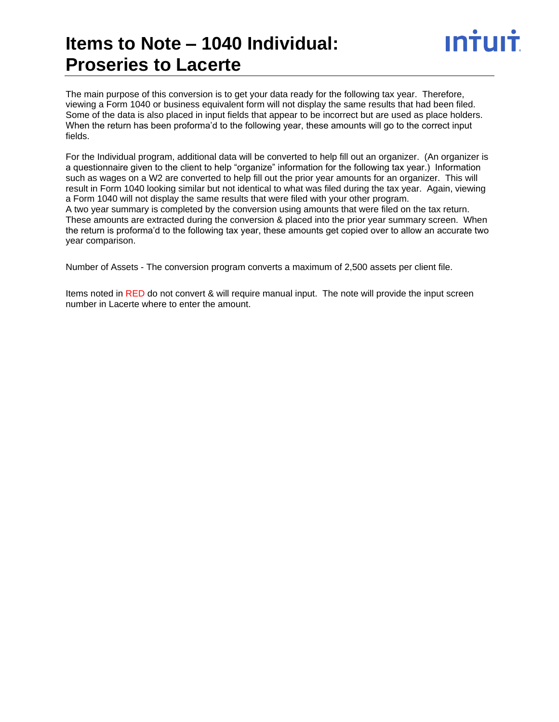# **Items to Note – 1040 Individual: Proseries to Lacerte**

The main purpose of this conversion is to get your data ready for the following tax year. Therefore, viewing a Form 1040 or business equivalent form will not display the same results that had been filed. Some of the data is also placed in input fields that appear to be incorrect but are used as place holders. When the return has been proforma'd to the following year, these amounts will go to the correct input fields.

For the Individual program, additional data will be converted to help fill out an organizer. (An organizer is a questionnaire given to the client to help "organize" information for the following tax year.) Information such as wages on a W2 are converted to help fill out the prior year amounts for an organizer. This will result in Form 1040 looking similar but not identical to what was filed during the tax year. Again, viewing a Form 1040 will not display the same results that were filed with your other program.

A two year summary is completed by the conversion using amounts that were filed on the tax return. These amounts are extracted during the conversion & placed into the prior year summary screen. When the return is proforma'd to the following tax year, these amounts get copied over to allow an accurate two year comparison.

Number of Assets - The conversion program converts a maximum of 2,500 assets per client file.

Items noted in RED do not convert & will require manual input. The note will provide the input screen number in Lacerte where to enter the amount.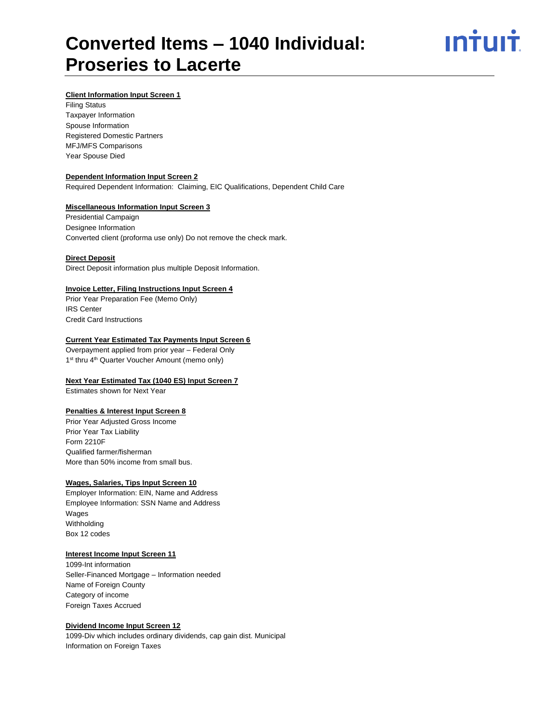

# **Client Information Input Screen 1**

Filing Status Taxpayer Information Spouse Information Registered Domestic Partners MFJ/MFS Comparisons Year Spouse Died

# **Dependent Information Input Screen 2**

Required Dependent Information: Claiming, EIC Qualifications, Dependent Child Care

# **Miscellaneous Information Input Screen 3**

Presidential Campaign Designee Information Converted client (proforma use only) Do not remove the check mark.

#### **Direct Deposit**

Direct Deposit information plus multiple Deposit Information.

# **Invoice Letter, Filing Instructions Input Screen 4**

Prior Year Preparation Fee (Memo Only) IRS Center Credit Card Instructions

#### **Current Year Estimated Tax Payments Input Screen 6**

Overpayment applied from prior year – Federal Only 1<sup>st</sup> thru 4<sup>th</sup> Quarter Voucher Amount (memo only)

#### **Next Year Estimated Tax (1040 ES) Input Screen 7**

Estimates shown for Next Year

#### **Penalties & Interest Input Screen 8**

Prior Year Adjusted Gross Income Prior Year Tax Liability Form 2210F Qualified farmer/fisherman More than 50% income from small bus.

#### **Wages, Salaries, Tips Input Screen 10**

Employer Information: EIN, Name and Address Employee Information: SSN Name and Address Wages Withholding Box 12 codes

#### **Interest Income Input Screen 11**

1099-Int information Seller-Financed Mortgage – Information needed Name of Foreign County Category of income Foreign Taxes Accrued

# **Dividend Income Input Screen 12**

1099-Div which includes ordinary dividends, cap gain dist. Municipal Information on Foreign Taxes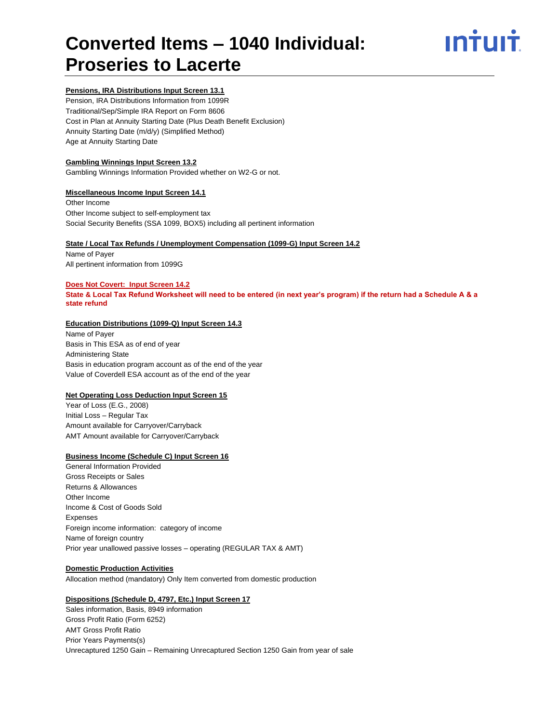

# **Pensions, IRA Distributions Input Screen 13.1**

Pension, IRA Distributions Information from 1099R Traditional/Sep/Simple IRA Report on Form 8606 Cost in Plan at Annuity Starting Date (Plus Death Benefit Exclusion) Annuity Starting Date (m/d/y) (Simplified Method) Age at Annuity Starting Date

# **Gambling Winnings Input Screen 13.2**

Gambling Winnings Information Provided whether on W2-G or not.

# **Miscellaneous Income Input Screen 14.1**

Other Income Other Income subject to self-employment tax Social Security Benefits (SSA 1099, BOX5) including all pertinent information

# **State / Local Tax Refunds / Unemployment Compensation (1099-G) Input Screen 14.2**

Name of Payer All pertinent information from 1099G

# **Does Not Covert: Input Screen 14.2**

**State & Local Tax Refund Worksheet will need to be entered (in next year's program) if the return had a Schedule A & a state refund**

# **Education Distributions (1099-Q) Input Screen 14.3**

Name of Payer Basis in This ESA as of end of year Administering State Basis in education program account as of the end of the year Value of Coverdell ESA account as of the end of the year

# **Net Operating Loss Deduction Input Screen 15**

Year of Loss (E.G., 2008) Initial Loss – Regular Tax Amount available for Carryover/Carryback AMT Amount available for Carryover/Carryback

# **Business Income (Schedule C) Input Screen 16**

General Information Provided Gross Receipts or Sales Returns & Allowances Other Income Income & Cost of Goods Sold Expenses Foreign income information: category of income Name of foreign country Prior year unallowed passive losses – operating (REGULAR TAX & AMT)

# **Domestic Production Activities**

Allocation method (mandatory) Only Item converted from domestic production

# **Dispositions (Schedule D, 4797, Etc.) Input Screen 17**

Sales information, Basis, 8949 information Gross Profit Ratio (Form 6252) AMT Gross Profit Ratio Prior Years Payments(s) Unrecaptured 1250 Gain – Remaining Unrecaptured Section 1250 Gain from year of sale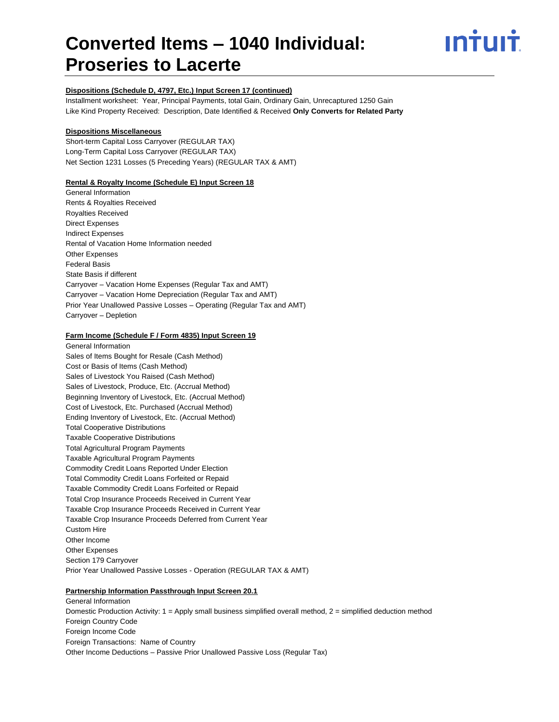

# **Dispositions (Schedule D, 4797, Etc.) Input Screen 17 (continued)**

Installment worksheet: Year, Principal Payments, total Gain, Ordinary Gain, Unrecaptured 1250 Gain Like Kind Property Received: Description, Date Identified & Received **Only Converts for Related Party**

# **Dispositions Miscellaneous**

Short-term Capital Loss Carryover (REGULAR TAX) Long-Term Capital Loss Carryover (REGULAR TAX) Net Section 1231 Losses (5 Preceding Years) (REGULAR TAX & AMT)

# **Rental & Royalty Income (Schedule E) Input Screen 18**

General Information Rents & Royalties Received Royalties Received Direct Expenses Indirect Expenses Rental of Vacation Home Information needed Other Expenses Federal Basis State Basis if different Carryover – Vacation Home Expenses (Regular Tax and AMT) Carryover – Vacation Home Depreciation (Regular Tax and AMT) Prior Year Unallowed Passive Losses – Operating (Regular Tax and AMT) Carryover – Depletion

# **Farm Income (Schedule F / Form 4835) Input Screen 19**

General Information Sales of Items Bought for Resale (Cash Method) Cost or Basis of Items (Cash Method) Sales of Livestock You Raised (Cash Method) Sales of Livestock, Produce, Etc. (Accrual Method) Beginning Inventory of Livestock, Etc. (Accrual Method) Cost of Livestock, Etc. Purchased (Accrual Method) Ending Inventory of Livestock, Etc. (Accrual Method) Total Cooperative Distributions Taxable Cooperative Distributions Total Agricultural Program Payments Taxable Agricultural Program Payments Commodity Credit Loans Reported Under Election Total Commodity Credit Loans Forfeited or Repaid Taxable Commodity Credit Loans Forfeited or Repaid Total Crop Insurance Proceeds Received in Current Year Taxable Crop Insurance Proceeds Received in Current Year Taxable Crop Insurance Proceeds Deferred from Current Year Custom Hire Other Income Other Expenses Section 179 Carryover Prior Year Unallowed Passive Losses - Operation (REGULAR TAX & AMT)

# **Partnership Information Passthrough Input Screen 20.1**

General Information Domestic Production Activity: 1 = Apply small business simplified overall method, 2 = simplified deduction method Foreign Country Code Foreign Income Code Foreign Transactions: Name of Country Other Income Deductions – Passive Prior Unallowed Passive Loss (Regular Tax)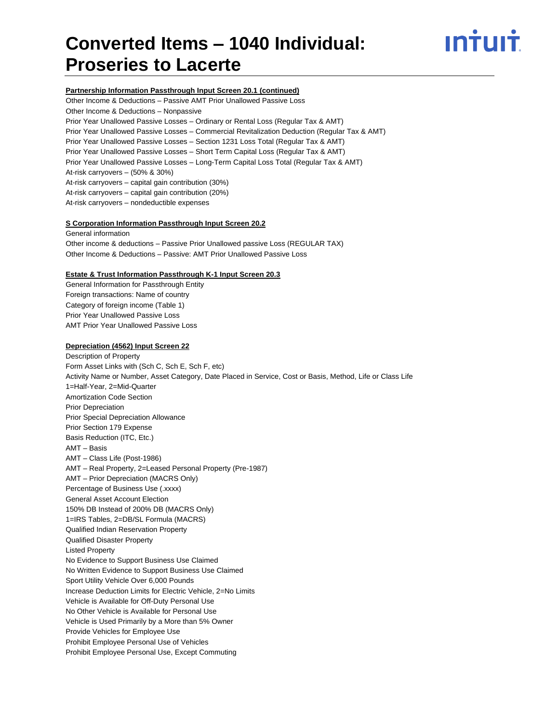

#### **Partnership Information Passthrough Input Screen 20.1 (continued)**

Other Income & Deductions – Passive AMT Prior Unallowed Passive Loss Other Income & Deductions – Nonpassive Prior Year Unallowed Passive Losses – Ordinary or Rental Loss (Regular Tax & AMT) Prior Year Unallowed Passive Losses – Commercial Revitalization Deduction (Regular Tax & AMT) Prior Year Unallowed Passive Losses – Section 1231 Loss Total (Regular Tax & AMT) Prior Year Unallowed Passive Losses – Short Term Capital Loss (Regular Tax & AMT) Prior Year Unallowed Passive Losses – Long-Term Capital Loss Total (Regular Tax & AMT) At-risk carryovers – (50% & 30%) At-risk carryovers – capital gain contribution (30%) At-risk carryovers – capital gain contribution (20%) At-risk carryovers – nondeductible expenses

#### **S Corporation Information Passthrough Input Screen 20.2**

General information Other income & deductions – Passive Prior Unallowed passive Loss (REGULAR TAX) Other Income & Deductions – Passive: AMT Prior Unallowed Passive Loss

# **Estate & Trust Information Passthrough K-1 Input Screen 20.3**

General Information for Passthrough Entity Foreign transactions: Name of country Category of foreign income (Table 1) Prior Year Unallowed Passive Loss AMT Prior Year Unallowed Passive Loss

#### **Depreciation (4562) Input Screen 22**

Description of Property Form Asset Links with (Sch C, Sch E, Sch F, etc) Activity Name or Number, Asset Category, Date Placed in Service, Cost or Basis, Method, Life or Class Life 1=Half-Year, 2=Mid-Quarter Amortization Code Section Prior Depreciation Prior Special Depreciation Allowance Prior Section 179 Expense Basis Reduction (ITC, Etc.) AMT – Basis AMT – Class Life (Post-1986) AMT – Real Property, 2=Leased Personal Property (Pre-1987) AMT – Prior Depreciation (MACRS Only) Percentage of Business Use (.xxxx) General Asset Account Election 150% DB Instead of 200% DB (MACRS Only) 1=IRS Tables, 2=DB/SL Formula (MACRS) Qualified Indian Reservation Property Qualified Disaster Property Listed Property No Evidence to Support Business Use Claimed No Written Evidence to Support Business Use Claimed Sport Utility Vehicle Over 6,000 Pounds Increase Deduction Limits for Electric Vehicle, 2=No Limits Vehicle is Available for Off-Duty Personal Use No Other Vehicle is Available for Personal Use Vehicle is Used Primarily by a More than 5% Owner Provide Vehicles for Employee Use Prohibit Employee Personal Use of Vehicles Prohibit Employee Personal Use, Except Commuting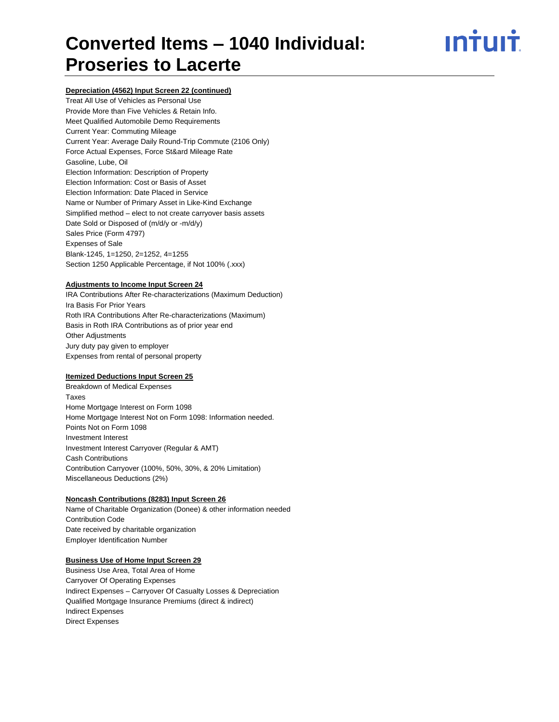# <u>ıntuıt</u>

# **Depreciation (4562) Input Screen 22 (continued)**

Treat All Use of Vehicles as Personal Use Provide More than Five Vehicles & Retain Info. Meet Qualified Automobile Demo Requirements Current Year: Commuting Mileage Current Year: Average Daily Round-Trip Commute (2106 Only) Force Actual Expenses, Force St&ard Mileage Rate Gasoline, Lube, Oil Election Information: Description of Property Election Information: Cost or Basis of Asset Election Information: Date Placed in Service Name or Number of Primary Asset in Like-Kind Exchange Simplified method – elect to not create carryover basis assets Date Sold or Disposed of (m/d/y or -m/d/y) Sales Price (Form 4797) Expenses of Sale Blank-1245, 1=1250, 2=1252, 4=1255 Section 1250 Applicable Percentage, if Not 100% (.xxx)

# **Adjustments to Income Input Screen 24**

IRA Contributions After Re-characterizations (Maximum Deduction) Ira Basis For Prior Years Roth IRA Contributions After Re-characterizations (Maximum) Basis in Roth IRA Contributions as of prior year end Other Adjustments Jury duty pay given to employer Expenses from rental of personal property

# **Itemized Deductions Input Screen 25**

Breakdown of Medical Expenses Taxes Home Mortgage Interest on Form 1098 Home Mortgage Interest Not on Form 1098: Information needed. Points Not on Form 1098 Investment Interest Investment Interest Carryover (Regular & AMT) Cash Contributions Contribution Carryover (100%, 50%, 30%, & 20% Limitation) Miscellaneous Deductions (2%)

# **Noncash Contributions (8283) Input Screen 26**

Name of Charitable Organization (Donee) & other information needed Contribution Code Date received by charitable organization Employer Identification Number

# **Business Use of Home Input Screen 29**

Business Use Area, Total Area of Home Carryover Of Operating Expenses Indirect Expenses – Carryover Of Casualty Losses & Depreciation Qualified Mortgage Insurance Premiums (direct & indirect) Indirect Expenses Direct Expenses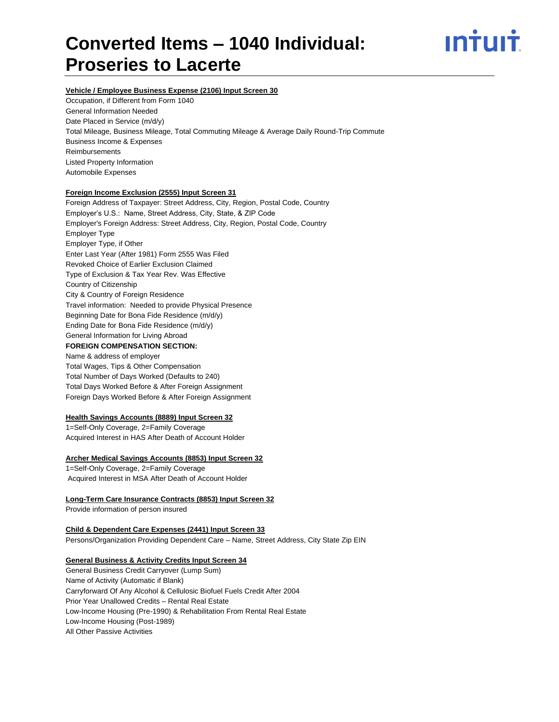# ın<del>i</del>uı<del>i</del>

# **Vehicle / Employee Business Expense (2106) Input Screen 30**

Occupation, if Different from Form 1040 General Information Needed Date Placed in Service (m/d/y) Total Mileage, Business Mileage, Total Commuting Mileage & Average Daily Round-Trip Commute Business Income & Expenses Reimbursements Listed Property Information Automobile Expenses

# **Foreign Income Exclusion (2555) Input Screen 31**

Foreign Address of Taxpayer: Street Address, City, Region, Postal Code, Country Employer's U.S.: Name, Street Address, City, State, & ZIP Code Employer's Foreign Address: Street Address, City, Region, Postal Code, Country Employer Type Employer Type, if Other Enter Last Year (After 1981) Form 2555 Was Filed Revoked Choice of Earlier Exclusion Claimed Type of Exclusion & Tax Year Rev. Was Effective Country of Citizenship City & Country of Foreign Residence Travel information: Needed to provide Physical Presence Beginning Date for Bona Fide Residence (m/d/y) Ending Date for Bona Fide Residence (m/d/y) General Information for Living Abroad **FOREIGN COMPENSATION SECTION:** Name & address of employer Total Wages, Tips & Other Compensation Total Number of Days Worked (Defaults to 240)

Total Days Worked Before & After Foreign Assignment Foreign Days Worked Before & After Foreign Assignment

# **Health Savings Accounts (8889) Input Screen 32**

1=Self-Only Coverage, 2=Family Coverage Acquired Interest in HAS After Death of Account Holder

# **Archer Medical Savings Accounts (8853) Input Screen 32**

1=Self-Only Coverage, 2=Family Coverage Acquired Interest in MSA After Death of Account Holder

# **Long-Term Care Insurance Contracts (8853) Input Screen 32**

Provide information of person insured

# **Child & Dependent Care Expenses (2441) Input Screen 33** Persons/Organization Providing Dependent Care – Name, Street Address, City State Zip EIN

# **General Business & Activity Credits Input Screen 34**

General Business Credit Carryover (Lump Sum) Name of Activity (Automatic if Blank) Carryforward Of Any Alcohol & Cellulosic Biofuel Fuels Credit After 2004 Prior Year Unallowed Credits – Rental Real Estate Low-Income Housing (Pre-1990) & Rehabilitation From Rental Real Estate Low-Income Housing (Post-1989) All Other Passive Activities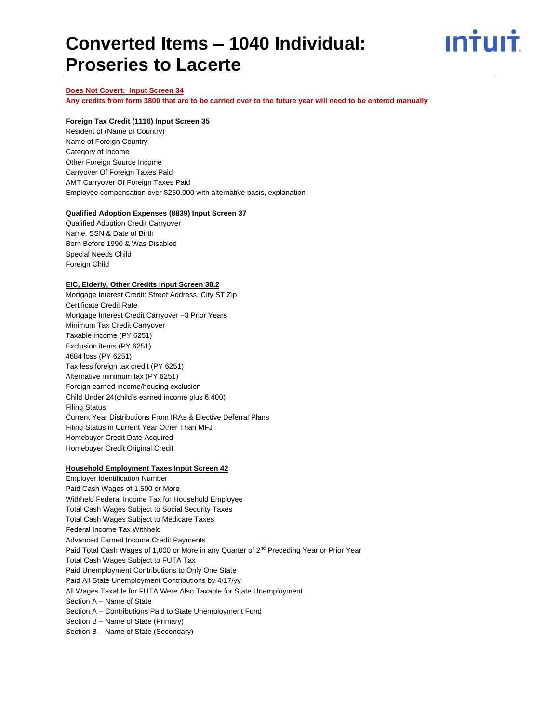

# **Does Not Covert: Input Screen 34**

**Any credits from form 3800 that are to be carried over to the future year will need to be entered manually**

### **Foreign Tax Credit (1116) Input Screen 35**

Resident of (Name of Country) Name of Foreign Country Category of Income Other Foreign Source Income Carryover Of Foreign Taxes Paid AMT Carryover Of Foreign Taxes Paid Employee compensation over \$250,000 with alternative basis, explanation

#### **Qualified Adoption Expenses (8839) Input Screen 37**

Qualified Adoption Credit Carryover Name, SSN & Date of Birth Born Before 1990 & Was Disabled Special Needs Child Foreign Child

# **EIC, Elderly, Other Credits Input Screen 38.2**

Mortgage Interest Credit: Street Address, City ST Zip Certificate Credit Rate Mortgage Interest Credit Carryover –3 Prior Years Minimum Tax Credit Carryover Taxable income (PY 6251) Exclusion items (PY 6251) 4684 loss (PY 6251) Tax less foreign tax credit (PY 6251) Alternative minimum tax (PY 6251) Foreign earned income/housing exclusion Child Under 24(child's earned income plus 6,400) Filing Status Current Year Distributions From IRAs & Elective Deferral Plans Filing Status in Current Year Other Than MFJ Homebuyer Credit Date Acquired Homebuyer Credit Original Credit

#### **Household Employment Taxes Input Screen 42**

Employer Identification Number Paid Cash Wages of 1,500 or More Withheld Federal Income Tax for Household Employee Total Cash Wages Subject to Social Security Taxes Total Cash Wages Subject to Medicare Taxes Federal Income Tax Withheld Advanced Earned Income Credit Payments Paid Total Cash Wages of 1,000 or More in any Quarter of 2<sup>nd</sup> Preceding Year or Prior Year Total Cash Wages Subject to FUTA Tax Paid Unemployment Contributions to Only One State Paid All State Unemployment Contributions by 4/17/yy All Wages Taxable for FUTA Were Also Taxable for State Unemployment Section A – Name of State Section A – Contributions Paid to State Unemployment Fund Section B – Name of State (Primary) Section B – Name of State (Secondary)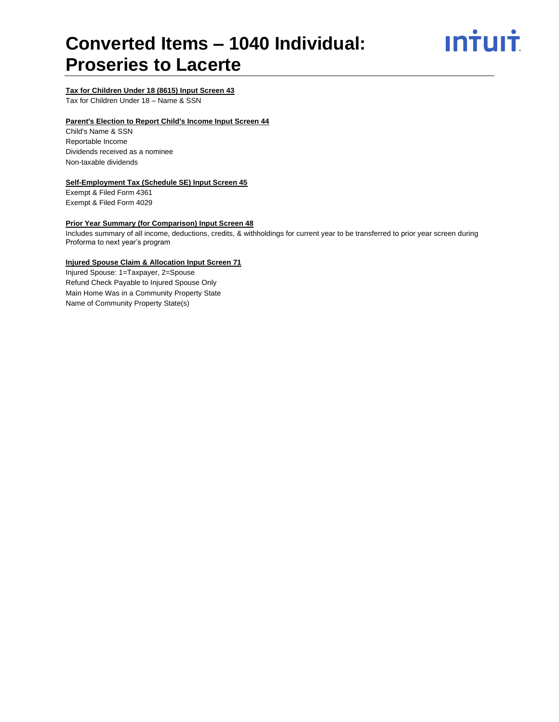

# **Tax for Children Under 18 (8615) Input Screen 43**

Tax for Children Under 18 – Name & SSN

# **Parent's Election to Report Child's Income Input Screen 44**

Child's Name & SSN Reportable Income Dividends received as a nominee Non-taxable dividends

# **Self-Employment Tax (Schedule SE) Input Screen 45**

Exempt & Filed Form 4361 Exempt & Filed Form 4029

# **Prior Year Summary (for Comparison) Input Screen 48**

Includes summary of all income, deductions, credits, & withholdings for current year to be transferred to prior year screen during Proforma to next year's program

# **Injured Spouse Claim & Allocation Input Screen 71**

Injured Spouse: 1=Taxpayer, 2=Spouse Refund Check Payable to Injured Spouse Only Main Home Was in a Community Property State Name of Community Property State(s)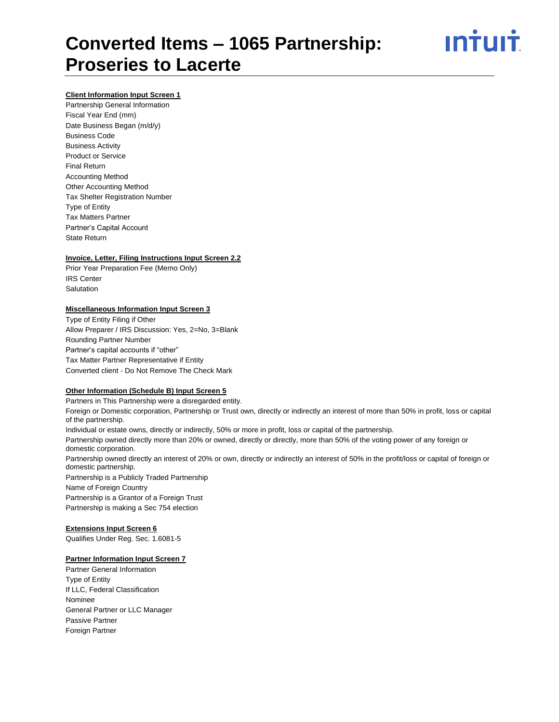

# **Client Information Input Screen 1**

Partnership General Information Fiscal Year End (mm) Date Business Began (m/d/y) Business Code Business Activity Product or Service Final Return Accounting Method Other Accounting Method Tax Shelter Registration Number Type of Entity Tax Matters Partner Partner's Capital Account State Return

# **Invoice, Letter, Filing Instructions Input Screen 2.2**

Prior Year Preparation Fee (Memo Only) IRS Center Salutation

#### **Miscellaneous Information Input Screen 3**

Type of Entity Filing if Other Allow Preparer / IRS Discussion: Yes, 2=No, 3=Blank Rounding Partner Number Partner's capital accounts if "other" Tax Matter Partner Representative if Entity Converted client - Do Not Remove The Check Mark

# **Other Information (Schedule B) Input Screen 5**

Partners in This Partnership were a disregarded entity. Foreign or Domestic corporation, Partnership or Trust own, directly or indirectly an interest of more than 50% in profit, loss or capital of the partnership. Individual or estate owns, directly or indirectly, 50% or more in profit, loss or capital of the partnership. Partnership owned directly more than 20% or owned, directly or directly, more than 50% of the voting power of any foreign or domestic corporation. Partnership owned directly an interest of 20% or own, directly or indirectly an interest of 50% in the profit/loss or capital of foreign or domestic partnership. Partnership is a Publicly Traded Partnership Name of Foreign Country Partnership is a Grantor of a Foreign Trust Partnership is making a Sec 754 election

# **Extensions Input Screen 6**

Qualifies Under Reg. Sec. 1.6081-5

# **Partner Information Input Screen 7**

Partner General Information Type of Entity If LLC, Federal Classification Nominee General Partner or LLC Manager Passive Partner Foreign Partner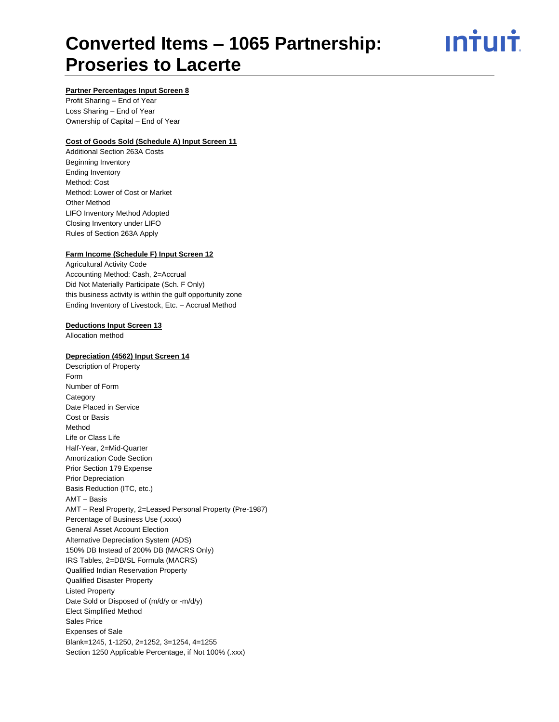ın<del>i</del>uı<del>i</del>

# **Partner Percentages Input Screen 8**

Profit Sharing – End of Year Loss Sharing – End of Year Ownership of Capital – End of Year

# **Cost of Goods Sold (Schedule A) Input Screen 11**

Additional Section 263A Costs Beginning Inventory Ending Inventory Method: Cost Method: Lower of Cost or Market Other Method LIFO Inventory Method Adopted Closing Inventory under LIFO Rules of Section 263A Apply

# **Farm Income (Schedule F) Input Screen 12**

Agricultural Activity Code Accounting Method: Cash, 2=Accrual Did Not Materially Participate (Sch. F Only) this business activity is within the gulf opportunity zone Ending Inventory of Livestock, Etc. – Accrual Method

# **Deductions Input Screen 13**

Allocation method

# **Depreciation (4562) Input Screen 14**

Description of Property Form Number of Form **Category** Date Placed in Service Cost or Basis Method Life or Class Life Half-Year, 2=Mid-Quarter Amortization Code Section Prior Section 179 Expense Prior Depreciation Basis Reduction (ITC, etc.) AMT – Basis AMT – Real Property, 2=Leased Personal Property (Pre-1987) Percentage of Business Use (.xxxx) General Asset Account Election Alternative Depreciation System (ADS) 150% DB Instead of 200% DB (MACRS Only) IRS Tables, 2=DB/SL Formula (MACRS) Qualified Indian Reservation Property Qualified Disaster Property Listed Property Date Sold or Disposed of (m/d/y or -m/d/y) Elect Simplified Method Sales Price Expenses of Sale Blank=1245, 1-1250, 2=1252, 3=1254, 4=1255 Section 1250 Applicable Percentage, if Not 100% (.xxx)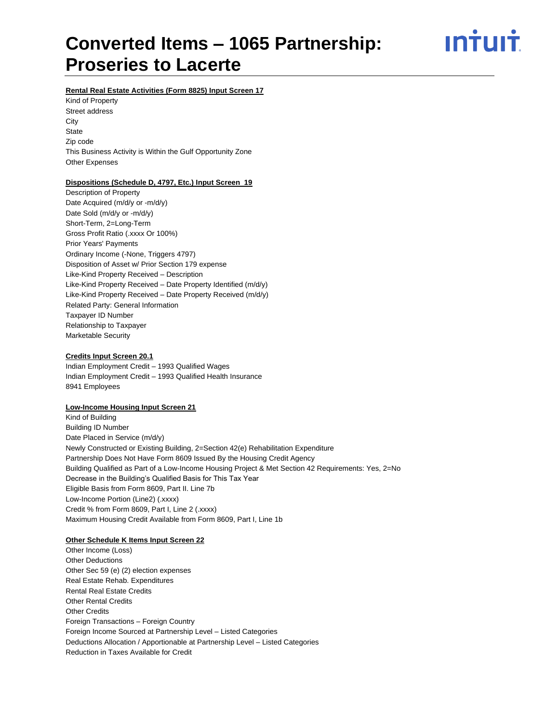ın†uı†

# **Rental Real Estate Activities (Form 8825) Input Screen 17**

Kind of Property Street address **City State** Zip code This Business Activity is Within the Gulf Opportunity Zone Other Expenses

# **Dispositions (Schedule D, 4797, Etc.) Input Screen 19**

Description of Property Date Acquired (m/d/y or -m/d/y) Date Sold (m/d/y or -m/d/y) Short-Term, 2=Long-Term Gross Profit Ratio (.xxxx Or 100%) Prior Years' Payments Ordinary Income (-None, Triggers 4797) Disposition of Asset w/ Prior Section 179 expense Like-Kind Property Received – Description Like-Kind Property Received – Date Property Identified (m/d/y) Like-Kind Property Received – Date Property Received (m/d/y) Related Party: General Information Taxpayer ID Number Relationship to Taxpayer Marketable Security

# **Credits Input Screen 20.1**

Indian Employment Credit – 1993 Qualified Wages Indian Employment Credit – 1993 Qualified Health Insurance 8941 Employees

#### **Low-Income Housing Input Screen 21**

Kind of Building Building ID Number Date Placed in Service (m/d/y) Newly Constructed or Existing Building, 2=Section 42(e) Rehabilitation Expenditure Partnership Does Not Have Form 8609 Issued By the Housing Credit Agency Building Qualified as Part of a Low-Income Housing Project & Met Section 42 Requirements: Yes, 2=No Decrease in the Building's Qualified Basis for This Tax Year Eligible Basis from Form 8609, Part II. Line 7b Low-Income Portion (Line2) (.xxxx) Credit % from Form 8609, Part I, Line 2 (.xxxx) Maximum Housing Credit Available from Form 8609, Part I, Line 1b

#### **Other Schedule K Items Input Screen 22**

Other Income (Loss) Other Deductions Other Sec 59 (e) (2) election expenses Real Estate Rehab. Expenditures Rental Real Estate Credits Other Rental Credits Other Credits Foreign Transactions – Foreign Country Foreign Income Sourced at Partnership Level – Listed Categories Deductions Allocation / Apportionable at Partnership Level – Listed Categories Reduction in Taxes Available for Credit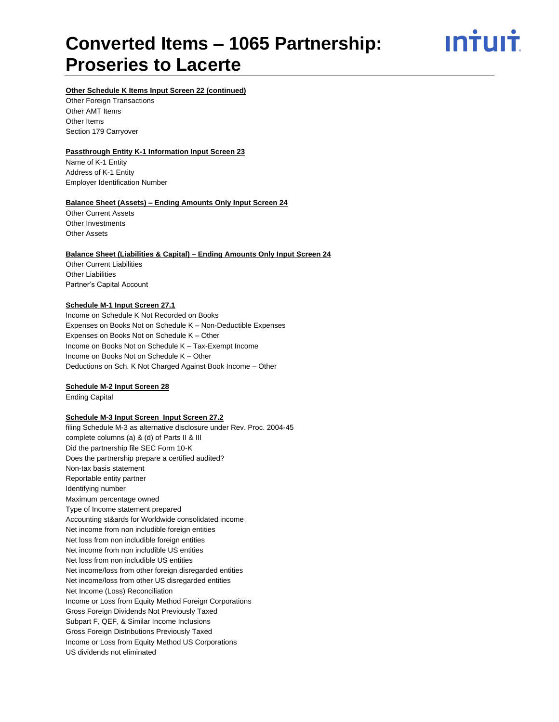<u>ıntuıt</u>

# **Other Schedule K Items Input Screen 22 (continued)**

Other Foreign Transactions Other AMT Items Other Items Section 179 Carryover

# **Passthrough Entity K-1 Information Input Screen 23**

Name of K-1 Entity Address of K-1 Entity Employer Identification Number

# **Balance Sheet (Assets) – Ending Amounts Only Input Screen 24**

Other Current Assets Other Investments Other Assets

# **Balance Sheet (Liabilities & Capital) – Ending Amounts Only Input Screen 24**

Other Current Liabilities Other Liabilities Partner's Capital Account

# **Schedule M-1 Input Screen 27.1**

Income on Schedule K Not Recorded on Books Expenses on Books Not on Schedule K – Non-Deductible Expenses Expenses on Books Not on Schedule K – Other Income on Books Not on Schedule K – Tax-Exempt Income Income on Books Not on Schedule K – Other Deductions on Sch. K Not Charged Against Book Income – Other

# **Schedule M-2 Input Screen 28**

Ending Capital

# **Schedule M-3 Input Screen Input Screen 27.2**

filing Schedule M-3 as alternative disclosure under Rev. Proc. 2004-45 complete columns (a) & (d) of Parts II & III Did the partnership file SEC Form 10-K Does the partnership prepare a certified audited? Non-tax basis statement Reportable entity partner Identifying number Maximum percentage owned Type of Income statement prepared Accounting st&ards for Worldwide consolidated income Net income from non includible foreign entities Net loss from non includible foreign entities Net income from non includible US entities Net loss from non includible US entities Net income/loss from other foreign disregarded entities Net income/loss from other US disregarded entities Net Income (Loss) Reconciliation Income or Loss from Equity Method Foreign Corporations Gross Foreign Dividends Not Previously Taxed Subpart F, QEF, & Similar Income Inclusions Gross Foreign Distributions Previously Taxed Income or Loss from Equity Method US Corporations US dividends not eliminated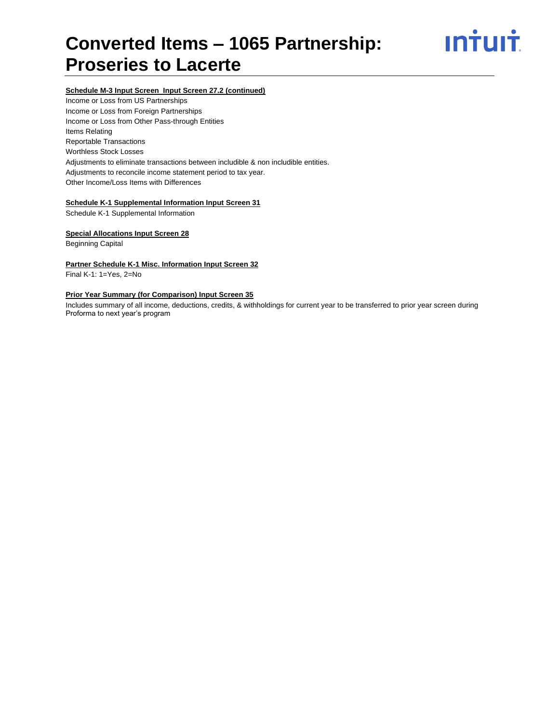

# **Schedule M-3 Input Screen Input Screen 27.2 (continued)**

Income or Loss from US Partnerships Income or Loss from Foreign Partnerships Income or Loss from Other Pass-through Entities Items Relating Reportable Transactions Worthless Stock Losses Adjustments to eliminate transactions between includible & non includible entities. Adjustments to reconcile income statement period to tax year. Other Income/Loss Items with Differences

# **Schedule K-1 Supplemental Information Input Screen 31**

Schedule K-1 Supplemental Information

# **Special Allocations Input Screen 28**

Beginning Capital

#### **Partner Schedule K-1 Misc. Information Input Screen 32**

Final K-1: 1=Yes, 2=No

# **Prior Year Summary (for Comparison) Input Screen 35**

Includes summary of all income, deductions, credits, & withholdings for current year to be transferred to prior year screen during Proforma to next year's program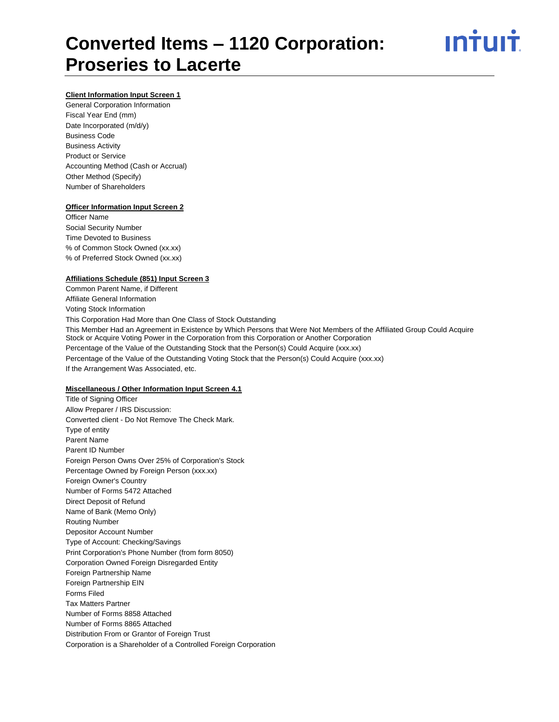# **Client Information Input Screen 1**

General Corporation Information Fiscal Year End (mm) Date Incorporated (m/d/y) Business Code Business Activity Product or Service Accounting Method (Cash or Accrual) Other Method (Specify) Number of Shareholders

#### **Officer Information Input Screen 2**

Officer Name Social Security Number Time Devoted to Business % of Common Stock Owned (xx.xx) % of Preferred Stock Owned (xx.xx)

### **Affiliations Schedule (851) Input Screen 3**

Common Parent Name, if Different Affiliate General Information Voting Stock Information This Corporation Had More than One Class of Stock Outstanding This Member Had an Agreement in Existence by Which Persons that Were Not Members of the Affiliated Group Could Acquire Stock or Acquire Voting Power in the Corporation from this Corporation or Another Corporation Percentage of the Value of the Outstanding Stock that the Person(s) Could Acquire (xxx.xx) Percentage of the Value of the Outstanding Voting Stock that the Person(s) Could Acquire (xxx.xx) If the Arrangement Was Associated, etc.

#### **Miscellaneous / Other Information Input Screen 4.1**

Title of Signing Officer Allow Preparer / IRS Discussion: Converted client - Do Not Remove The Check Mark. Type of entity Parent Name Parent ID Number Foreign Person Owns Over 25% of Corporation's Stock Percentage Owned by Foreign Person (xxx.xx) Foreign Owner's Country Number of Forms 5472 Attached Direct Deposit of Refund Name of Bank (Memo Only) Routing Number Depositor Account Number Type of Account: Checking/Savings Print Corporation's Phone Number (from form 8050) Corporation Owned Foreign Disregarded Entity Foreign Partnership Name Foreign Partnership EIN Forms Filed Tax Matters Partner Number of Forms 8858 Attached Number of Forms 8865 Attached Distribution From or Grantor of Foreign Trust Corporation is a Shareholder of a Controlled Foreign Corporation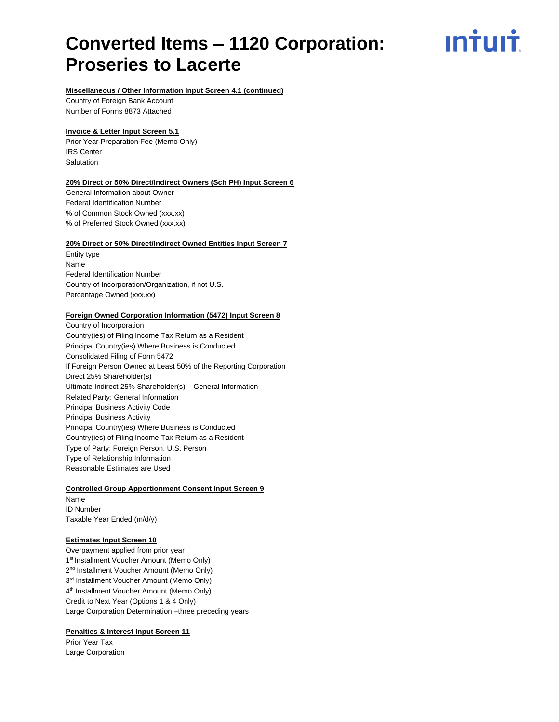ın<del>i</del>uı<del>i</del>

# **Miscellaneous / Other Information Input Screen 4.1 (continued)**

Country of Foreign Bank Account Number of Forms 8873 Attached

#### **Invoice & Letter Input Screen 5.1**

Prior Year Preparation Fee (Memo Only) IRS Center Salutation

#### **20% Direct or 50% Direct/Indirect Owners (Sch PH) Input Screen 6**

General Information about Owner Federal Identification Number % of Common Stock Owned (xxx.xx) % of Preferred Stock Owned (xxx.xx)

#### **20% Direct or 50% Direct/Indirect Owned Entities Input Screen 7**

Entity type Name Federal Identification Number Country of Incorporation/Organization, if not U.S. Percentage Owned (xxx.xx)

# **Foreign Owned Corporation Information (5472) Input Screen 8**

Country of Incorporation Country(ies) of Filing Income Tax Return as a Resident Principal Country(ies) Where Business is Conducted Consolidated Filing of Form 5472 If Foreign Person Owned at Least 50% of the Reporting Corporation Direct 25% Shareholder(s) Ultimate Indirect 25% Shareholder(s) – General Information Related Party: General Information Principal Business Activity Code Principal Business Activity Principal Country(ies) Where Business is Conducted Country(ies) of Filing Income Tax Return as a Resident Type of Party: Foreign Person, U.S. Person Type of Relationship Information Reasonable Estimates are Used

#### **Controlled Group Apportionment Consent Input Screen 9**

Name ID Number Taxable Year Ended (m/d/y)

# **Estimates Input Screen 10**

Overpayment applied from prior year 1<sup>st</sup> Installment Voucher Amount (Memo Only) 2<sup>nd</sup> Installment Voucher Amount (Memo Only) 3<sup>rd</sup> Installment Voucher Amount (Memo Only) 4<sup>th</sup> Installment Voucher Amount (Memo Only) Credit to Next Year (Options 1 & 4 Only) Large Corporation Determination –three preceding years

# **Penalties & Interest Input Screen 11**

Prior Year Tax Large Corporation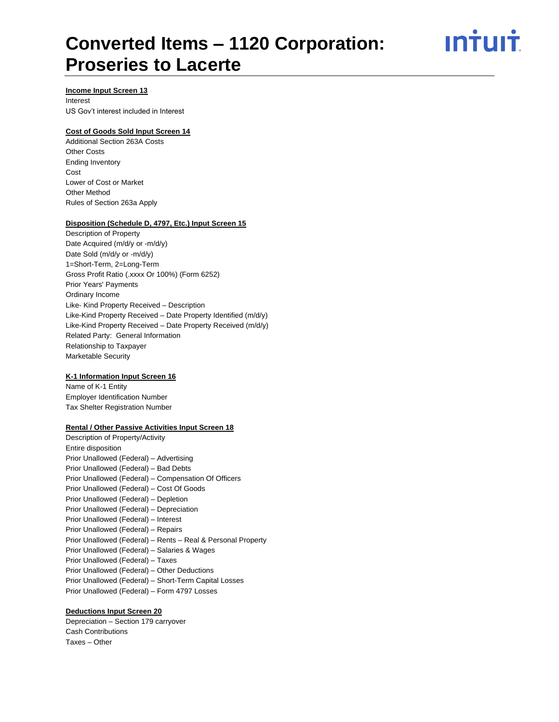<u>ıntuıt</u>

# **Income Input Screen 13**

Interest US Gov't interest included in Interest

# **Cost of Goods Sold Input Screen 14**

Additional Section 263A Costs Other Costs Ending Inventory Cost Lower of Cost or Market Other Method Rules of Section 263a Apply

## **Disposition (Schedule D, 4797, Etc.) Input Screen 15**

Description of Property Date Acquired (m/d/y or -m/d/y) Date Sold (m/d/y or -m/d/y) 1=Short-Term, 2=Long-Term Gross Profit Ratio (.xxxx Or 100%) (Form 6252) Prior Years' Payments Ordinary Income Like- Kind Property Received – Description Like-Kind Property Received – Date Property Identified (m/d/y) Like-Kind Property Received – Date Property Received (m/d/y) Related Party: General Information Relationship to Taxpayer Marketable Security

#### **K-1 Information Input Screen 16**

Name of K-1 Entity Employer Identification Number Tax Shelter Registration Number

# **Rental / Other Passive Activities Input Screen 18**

Description of Property/Activity Entire disposition Prior Unallowed (Federal) – Advertising Prior Unallowed (Federal) – Bad Debts Prior Unallowed (Federal) – Compensation Of Officers Prior Unallowed (Federal) – Cost Of Goods Prior Unallowed (Federal) – Depletion Prior Unallowed (Federal) – Depreciation Prior Unallowed (Federal) – Interest Prior Unallowed (Federal) – Repairs Prior Unallowed (Federal) – Rents – Real & Personal Property Prior Unallowed (Federal) – Salaries & Wages Prior Unallowed (Federal) – Taxes Prior Unallowed (Federal) – Other Deductions Prior Unallowed (Federal) – Short-Term Capital Losses Prior Unallowed (Federal) – Form 4797 Losses

# **Deductions Input Screen 20**

Depreciation – Section 179 carryover Cash Contributions Taxes – Other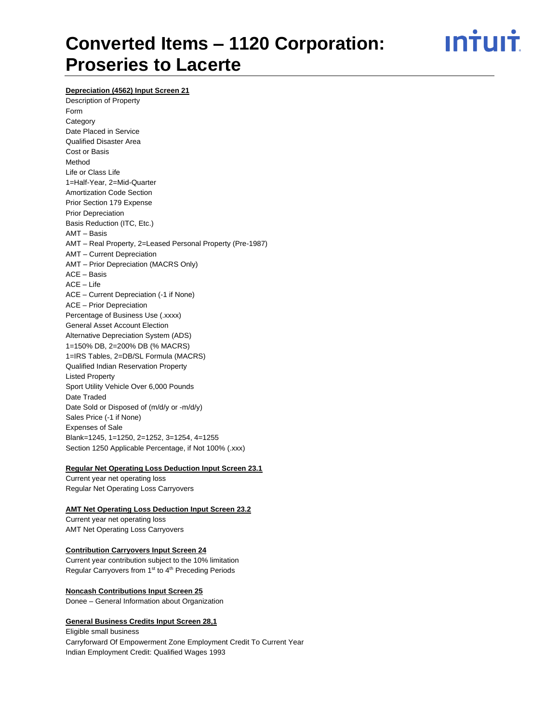<u>ıntuıt</u>

**Depreciation (4562) Input Screen 21**

Description of Property Form **Category** Date Placed in Service Qualified Disaster Area Cost or Basis Method Life or Class Life 1=Half-Year, 2=Mid-Quarter Amortization Code Section Prior Section 179 Expense Prior Depreciation Basis Reduction (ITC, Etc.) AMT – Basis AMT – Real Property, 2=Leased Personal Property (Pre-1987) AMT – Current Depreciation AMT – Prior Depreciation (MACRS Only) ACE – Basis ACE – Life ACE – Current Depreciation (-1 if None) ACE – Prior Depreciation Percentage of Business Use (.xxxx) General Asset Account Election Alternative Depreciation System (ADS) 1=150% DB, 2=200% DB (% MACRS) 1=IRS Tables, 2=DB/SL Formula (MACRS) Qualified Indian Reservation Property Listed Property Sport Utility Vehicle Over 6,000 Pounds Date Traded Date Sold or Disposed of (m/d/y or -m/d/y) Sales Price (-1 if None) Expenses of Sale Blank=1245, 1=1250, 2=1252, 3=1254, 4=1255 Section 1250 Applicable Percentage, if Not 100% (.xxx)

#### **Regular Net Operating Loss Deduction Input Screen 23.1**

Current year net operating loss Regular Net Operating Loss Carryovers

# **AMT Net Operating Loss Deduction Input Screen 23.2**

Current year net operating loss AMT Net Operating Loss Carryovers

#### **Contribution Carryovers Input Screen 24**

Current year contribution subject to the 10% limitation Regular Carryovers from 1<sup>st</sup> to 4<sup>th</sup> Preceding Periods

#### **Noncash Contributions Input Screen 25**

Donee – General Information about Organization

# **General Business Credits Input Screen 28,1**

Eligible small business Carryforward Of Empowerment Zone Employment Credit To Current Year Indian Employment Credit: Qualified Wages 1993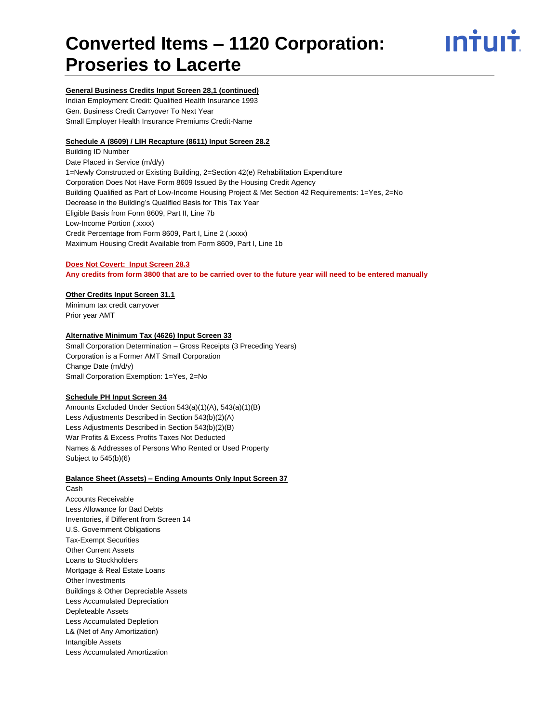

# **General Business Credits Input Screen 28,1 (continued)**

Indian Employment Credit: Qualified Health Insurance 1993 Gen. Business Credit Carryover To Next Year Small Employer Health Insurance Premiums Credit-Name

# **Schedule A (8609) / LIH Recapture (8611) Input Screen 28.2**

Building ID Number Date Placed in Service (m/d/y) 1=Newly Constructed or Existing Building, 2=Section 42(e) Rehabilitation Expenditure Corporation Does Not Have Form 8609 Issued By the Housing Credit Agency Building Qualified as Part of Low-Income Housing Project & Met Section 42 Requirements: 1=Yes, 2=No Decrease in the Building's Qualified Basis for This Tax Year Eligible Basis from Form 8609, Part II, Line 7b Low-Income Portion (.xxxx) Credit Percentage from Form 8609, Part I, Line 2 (.xxxx) Maximum Housing Credit Available from Form 8609, Part I, Line 1b

#### **Does Not Covert: Input Screen 28.3**

**Any credits from form 3800 that are to be carried over to the future year will need to be entered manually**

#### **Other Credits Input Screen 31.1**

Minimum tax credit carryover Prior year AMT

# **Alternative Minimum Tax (4626) Input Screen 33**

Small Corporation Determination – Gross Receipts (3 Preceding Years) Corporation is a Former AMT Small Corporation Change Date (m/d/y) Small Corporation Exemption: 1=Yes, 2=No

#### **Schedule PH Input Screen 34**

Amounts Excluded Under Section 543(a)(1)(A), 543(a)(1)(B) Less Adjustments Described in Section 543(b)(2)(A) Less Adjustments Described in Section 543(b)(2)(B) War Profits & Excess Profits Taxes Not Deducted Names & Addresses of Persons Who Rented or Used Property Subject to 545(b)(6)

#### **Balance Sheet (Assets) – Ending Amounts Only Input Screen 37**

Cash Accounts Receivable Less Allowance for Bad Debts Inventories, if Different from Screen 14 U.S. Government Obligations Tax-Exempt Securities Other Current Assets Loans to Stockholders Mortgage & Real Estate Loans Other Investments Buildings & Other Depreciable Assets Less Accumulated Depreciation Depleteable Assets Less Accumulated Depletion L& (Net of Any Amortization) Intangible Assets Less Accumulated Amortization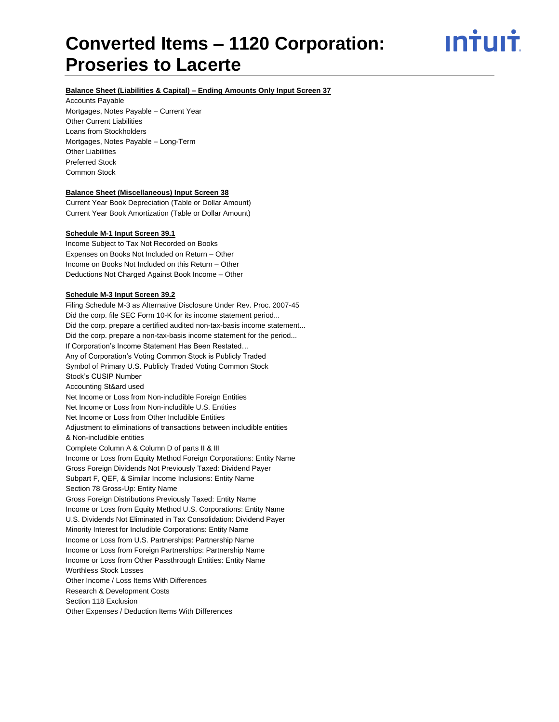INTUIT

# **Balance Sheet (Liabilities & Capital) – Ending Amounts Only Input Screen 37**

Accounts Payable Mortgages, Notes Payable – Current Year Other Current Liabilities Loans from Stockholders Mortgages, Notes Payable – Long-Term Other Liabilities Preferred Stock Common Stock

# **Balance Sheet (Miscellaneous) Input Screen 38**

Current Year Book Depreciation (Table or Dollar Amount) Current Year Book Amortization (Table or Dollar Amount)

#### **Schedule M-1 Input Screen 39.1**

Income Subject to Tax Not Recorded on Books Expenses on Books Not Included on Return – Other Income on Books Not Included on this Return – Other Deductions Not Charged Against Book Income – Other

#### **Schedule M-3 Input Screen 39.2**

Filing Schedule M-3 as Alternative Disclosure Under Rev. Proc. 2007-45 Did the corp. file SEC Form 10-K for its income statement period... Did the corp. prepare a certified audited non-tax-basis income statement... Did the corp. prepare a non-tax-basis income statement for the period... If Corporation's Income Statement Has Been Restated… Any of Corporation's Voting Common Stock is Publicly Traded Symbol of Primary U.S. Publicly Traded Voting Common Stock Stock's CUSIP Number Accounting St&ard used Net Income or Loss from Non-includible Foreign Entities Net Income or Loss from Non-includible U.S. Entities Net Income or Loss from Other Includible Entities Adjustment to eliminations of transactions between includible entities & Non-includible entities Complete Column A & Column D of parts II & III Income or Loss from Equity Method Foreign Corporations: Entity Name Gross Foreign Dividends Not Previously Taxed: Dividend Payer Subpart F, QEF, & Similar Income Inclusions: Entity Name Section 78 Gross-Up: Entity Name Gross Foreign Distributions Previously Taxed: Entity Name Income or Loss from Equity Method U.S. Corporations: Entity Name U.S. Dividends Not Eliminated in Tax Consolidation: Dividend Payer Minority Interest for Includible Corporations: Entity Name Income or Loss from U.S. Partnerships: Partnership Name Income or Loss from Foreign Partnerships: Partnership Name Income or Loss from Other Passthrough Entities: Entity Name Worthless Stock Losses Other Income / Loss Items With Differences Research & Development Costs Section 118 Exclusion Other Expenses / Deduction Items With Differences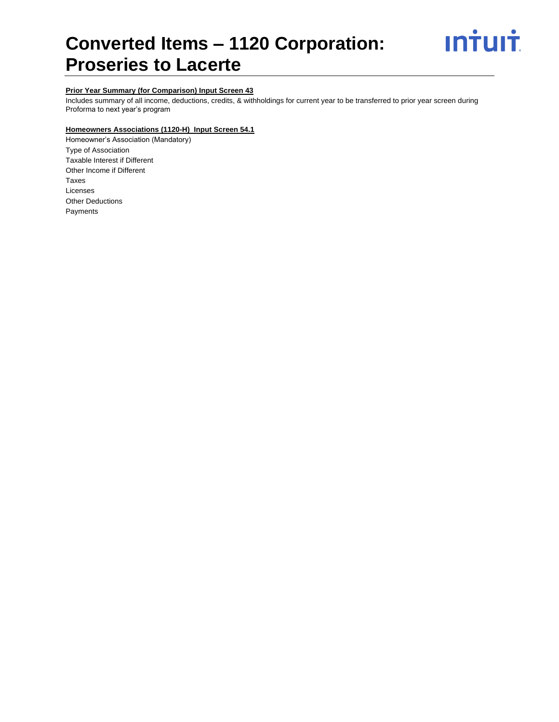

# **Prior Year Summary (for Comparison) Input Screen 43**

Includes summary of all income, deductions, credits, & withholdings for current year to be transferred to prior year screen during Proforma to next year's program

# **Homeowners Associations (1120-H) Input Screen 54.1**

Homeowner's Association (Mandatory) Type of Association Taxable Interest if Different Other Income if Different Taxes Licenses Other Deductions Payments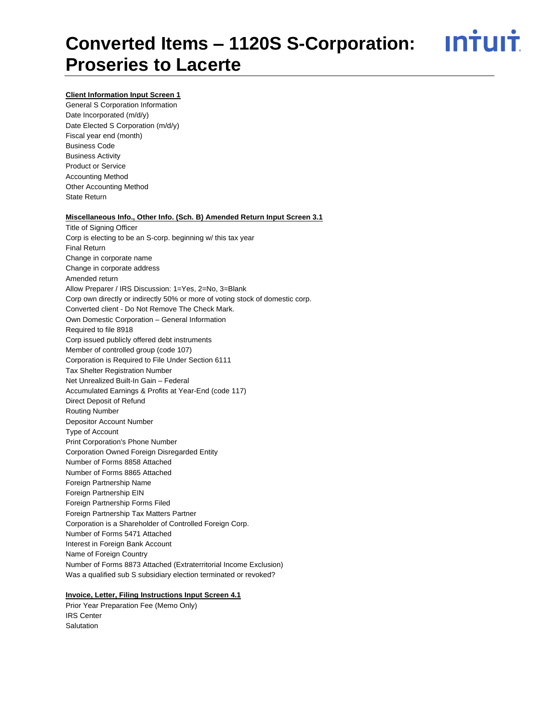<u>ıntuıt</u>

# **Client Information Input Screen 1**

General S Corporation Information Date Incorporated (m/d/y) Date Elected S Corporation (m/d/y) Fiscal year end (month) Business Code Business Activity Product or Service Accounting Method Other Accounting Method State Return

#### **Miscellaneous Info., Other Info. (Sch. B) Amended Return Input Screen 3.1**

Title of Signing Officer Corp is electing to be an S-corp. beginning w/ this tax year Final Return Change in corporate name Change in corporate address Amended return Allow Preparer / IRS Discussion: 1=Yes, 2=No, 3=Blank Corp own directly or indirectly 50% or more of voting stock of domestic corp. Converted client - Do Not Remove The Check Mark. Own Domestic Corporation – General Information Required to file 8918 Corp issued publicly offered debt instruments Member of controlled group (code 107) Corporation is Required to File Under Section 6111 Tax Shelter Registration Number Net Unrealized Built-In Gain – Federal Accumulated Earnings & Profits at Year-End (code 117) Direct Deposit of Refund Routing Number Depositor Account Number Type of Account Print Corporation's Phone Number Corporation Owned Foreign Disregarded Entity Number of Forms 8858 Attached Number of Forms 8865 Attached Foreign Partnership Name Foreign Partnership EIN Foreign Partnership Forms Filed Foreign Partnership Tax Matters Partner Corporation is a Shareholder of Controlled Foreign Corp. Number of Forms 5471 Attached Interest in Foreign Bank Account Name of Foreign Country Number of Forms 8873 Attached (Extraterritorial Income Exclusion) Was a qualified sub S subsidiary election terminated or revoked?

# **Invoice, Letter, Filing Instructions Input Screen 4.1**

Prior Year Preparation Fee (Memo Only) IRS Center Salutation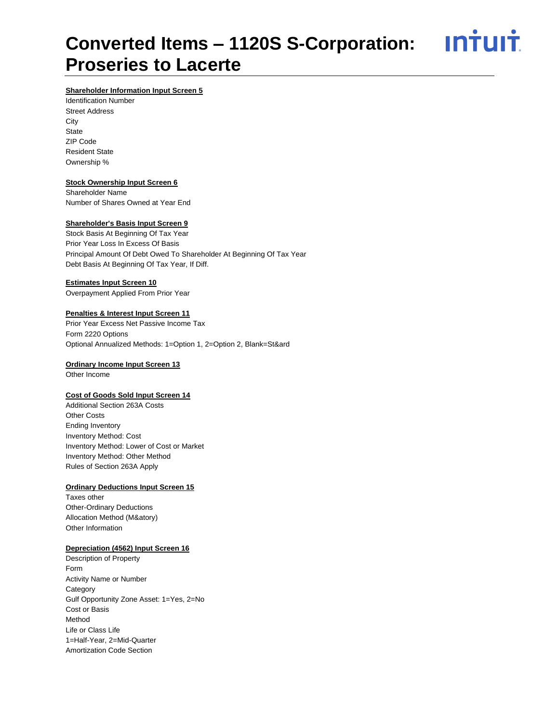<u>**Intuit**</u>

# **Shareholder Information Input Screen 5**

Identification Number Street Address **City State** ZIP Code Resident State Ownership %

# **Stock Ownership Input Screen 6**

Shareholder Name Number of Shares Owned at Year End

# **Shareholder's Basis Input Screen 9**

Stock Basis At Beginning Of Tax Year Prior Year Loss In Excess Of Basis Principal Amount Of Debt Owed To Shareholder At Beginning Of Tax Year Debt Basis At Beginning Of Tax Year, If Diff.

# **Estimates Input Screen 10**

Overpayment Applied From Prior Year

# **Penalties & Interest Input Screen 11**

Prior Year Excess Net Passive Income Tax Form 2220 Options Optional Annualized Methods: 1=Option 1, 2=Option 2, Blank=St&ard

# **Ordinary Income Input Screen 13**

Other Income

# **Cost of Goods Sold Input Screen 14**

Additional Section 263A Costs Other Costs Ending Inventory Inventory Method: Cost Inventory Method: Lower of Cost or Market Inventory Method: Other Method Rules of Section 263A Apply

# **Ordinary Deductions Input Screen 15**

Taxes other Other-Ordinary Deductions Allocation Method (M&atory) Other Information

# **Depreciation (4562) Input Screen 16**

Description of Property Form Activity Name or Number **Category** Gulf Opportunity Zone Asset: 1=Yes, 2=No Cost or Basis Method Life or Class Life 1=Half-Year, 2=Mid-Quarter Amortization Code Section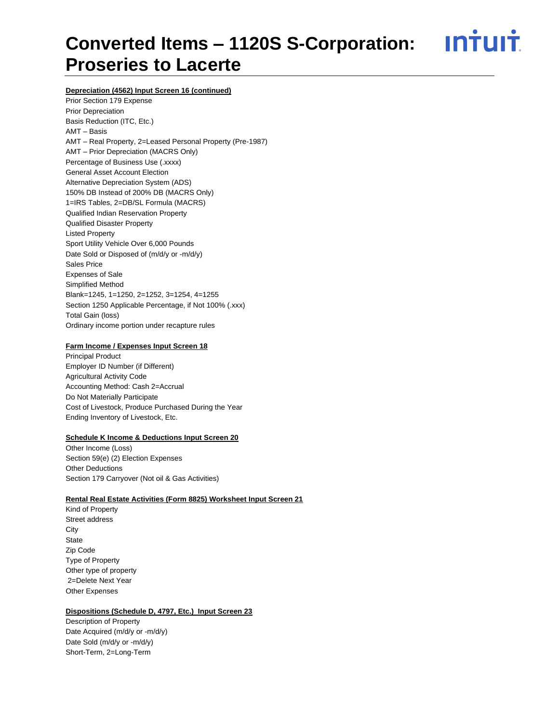<u>**Intuit**</u>

# **Depreciation (4562) Input Screen 16 (continued)**

Prior Section 179 Expense Prior Depreciation Basis Reduction (ITC, Etc.) AMT – Basis AMT – Real Property, 2=Leased Personal Property (Pre-1987) AMT – Prior Depreciation (MACRS Only) Percentage of Business Use (.xxxx) General Asset Account Election Alternative Depreciation System (ADS) 150% DB Instead of 200% DB (MACRS Only) 1=IRS Tables, 2=DB/SL Formula (MACRS) Qualified Indian Reservation Property Qualified Disaster Property Listed Property Sport Utility Vehicle Over 6,000 Pounds Date Sold or Disposed of (m/d/y or -m/d/y) Sales Price Expenses of Sale Simplified Method Blank=1245, 1=1250, 2=1252, 3=1254, 4=1255 Section 1250 Applicable Percentage, if Not 100% (.xxx) Total Gain (loss) Ordinary income portion under recapture rules

# **Farm Income / Expenses Input Screen 18**

Principal Product Employer ID Number (if Different) Agricultural Activity Code Accounting Method: Cash 2=Accrual Do Not Materially Participate Cost of Livestock, Produce Purchased During the Year Ending Inventory of Livestock, Etc.

# **Schedule K Income & Deductions Input Screen 20**

Other Income (Loss) Section 59(e) (2) Election Expenses Other Deductions Section 179 Carryover (Not oil & Gas Activities)

# **Rental Real Estate Activities (Form 8825) Worksheet Input Screen 21**

Kind of Property Street address **City State** Zip Code Type of Property Other type of property 2=Delete Next Year Other Expenses

# **Dispositions (Schedule D, 4797, Etc.) Input Screen 23**

Description of Property Date Acquired (m/d/y or -m/d/y) Date Sold (m/d/y or -m/d/y) Short-Term, 2=Long-Term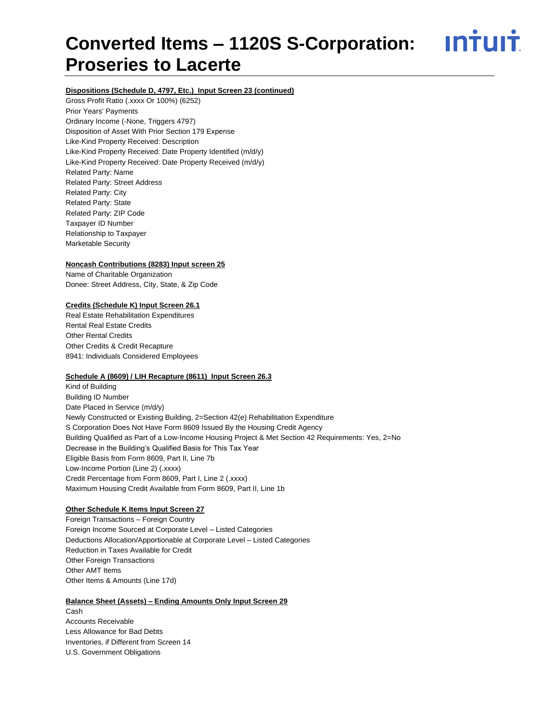ın†uı†

# **Dispositions (Schedule D, 4797, Etc.) Input Screen 23 (continued)**

Gross Profit Ratio (.xxxx Or 100%) (6252) Prior Years' Payments Ordinary Income (-None, Triggers 4797) Disposition of Asset With Prior Section 179 Expense Like-Kind Property Received: Description Like-Kind Property Received: Date Property Identified (m/d/y) Like-Kind Property Received: Date Property Received (m/d/y) Related Party: Name Related Party: Street Address Related Party: City Related Party: State Related Party: ZIP Code Taxpayer ID Number Relationship to Taxpayer Marketable Security

# **Noncash Contributions (8283) Input screen 25**

Name of Charitable Organization Donee: Street Address, City, State, & Zip Code

# **Credits (Schedule K) Input Screen 26.1**

Real Estate Rehabilitation Expenditures Rental Real Estate Credits Other Rental Credits Other Credits & Credit Recapture 8941: Individuals Considered Employees

# **Schedule A (8609) / LIH Recapture (8611) Input Screen 26.3**

Kind of Building Building ID Number Date Placed in Service (m/d/y) Newly Constructed or Existing Building, 2=Section 42(e) Rehabilitation Expenditure S Corporation Does Not Have Form 8609 Issued By the Housing Credit Agency Building Qualified as Part of a Low-Income Housing Project & Met Section 42 Requirements: Yes, 2=No Decrease in the Building's Qualified Basis for This Tax Year Eligible Basis from Form 8609, Part II, Line 7b Low-Income Portion (Line 2) (.xxxx) Credit Percentage from Form 8609, Part I, Line 2 (.xxxx) Maximum Housing Credit Available from Form 8609, Part II, Line 1b

# **Other Schedule K Items Input Screen 27**

Foreign Transactions – Foreign Country Foreign Income Sourced at Corporate Level – Listed Categories Deductions Allocation/Apportionable at Corporate Level – Listed Categories Reduction in Taxes Available for Credit Other Foreign Transactions Other AMT Items Other Items & Amounts (Line 17d)

# **Balance Sheet (Assets) – Ending Amounts Only Input Screen 29** Cash Accounts Receivable Less Allowance for Bad Debts

Inventories, if Different from Screen 14 U.S. Government Obligations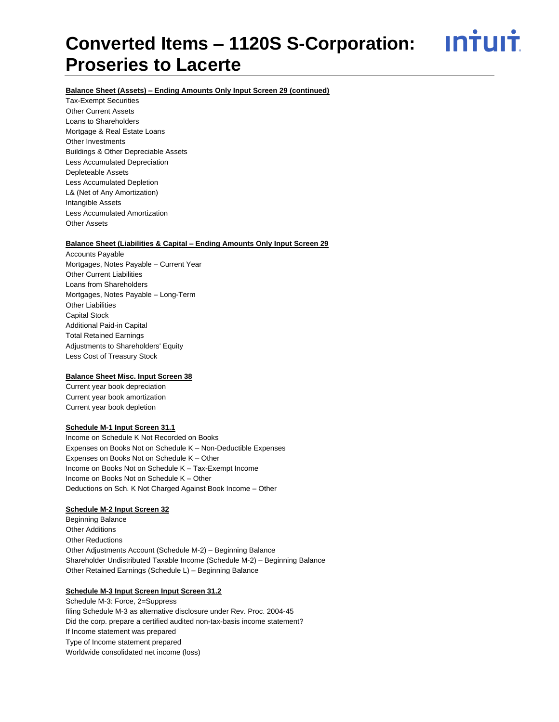<u>ıntuıt</u>

# **Balance Sheet (Assets) – Ending Amounts Only Input Screen 29 (continued)**

Tax-Exempt Securities Other Current Assets Loans to Shareholders Mortgage & Real Estate Loans Other Investments Buildings & Other Depreciable Assets Less Accumulated Depreciation Depleteable Assets Less Accumulated Depletion L& (Net of Any Amortization) Intangible Assets Less Accumulated Amortization Other Assets

# **Balance Sheet (Liabilities & Capital – Ending Amounts Only Input Screen 29**

Accounts Payable Mortgages, Notes Payable – Current Year Other Current Liabilities Loans from Shareholders Mortgages, Notes Payable – Long-Term Other Liabilities Capital Stock Additional Paid-in Capital Total Retained Earnings Adjustments to Shareholders' Equity Less Cost of Treasury Stock

# **Balance Sheet Misc. Input Screen 38**

Current year book depreciation Current year book amortization Current year book depletion

# **Schedule M-1 Input Screen 31.1**

Income on Schedule K Not Recorded on Books Expenses on Books Not on Schedule K – Non-Deductible Expenses Expenses on Books Not on Schedule K – Other Income on Books Not on Schedule K – Tax-Exempt Income Income on Books Not on Schedule K – Other Deductions on Sch. K Not Charged Against Book Income – Other

# **Schedule M-2 Input Screen 32**

Beginning Balance Other Additions Other Reductions Other Adjustments Account (Schedule M-2) – Beginning Balance Shareholder Undistributed Taxable Income (Schedule M-2) – Beginning Balance Other Retained Earnings (Schedule L) – Beginning Balance

# **Schedule M-3 Input Screen Input Screen 31.2**

Schedule M-3: Force, 2=Suppress filing Schedule M-3 as alternative disclosure under Rev. Proc. 2004-45 Did the corp. prepare a certified audited non-tax-basis income statement? If Income statement was prepared Type of Income statement prepared Worldwide consolidated net income (loss)